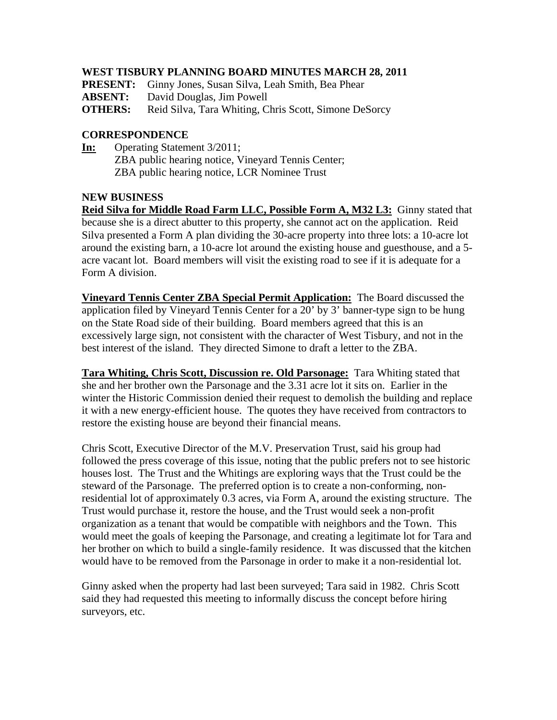## **WEST TISBURY PLANNING BOARD MINUTES MARCH 28, 2011**

| <b>PRESENT:</b> Ginny Jones, Susan Silva, Leah Smith, Bea Phear |  |  |  |  |
|-----------------------------------------------------------------|--|--|--|--|
|-----------------------------------------------------------------|--|--|--|--|

**ABSENT:** David Douglas, Jim Powell

**OTHERS:** Reid Silva, Tara Whiting, Chris Scott, Simone DeSorcy

## **CORRESPONDENCE**

**In:** Operating Statement 3/2011; ZBA public hearing notice, Vineyard Tennis Center; ZBA public hearing notice, LCR Nominee Trust

#### **NEW BUSINESS**

**Reid Silva for Middle Road Farm LLC, Possible Form A, M32 L3:** Ginny stated that because she is a direct abutter to this property, she cannot act on the application. Reid Silva presented a Form A plan dividing the 30-acre property into three lots: a 10-acre lot around the existing barn, a 10-acre lot around the existing house and guesthouse, and a 5 acre vacant lot. Board members will visit the existing road to see if it is adequate for a Form A division.

**Vineyard Tennis Center ZBA Special Permit Application:** The Board discussed the application filed by Vineyard Tennis Center for a 20' by 3' banner-type sign to be hung on the State Road side of their building. Board members agreed that this is an excessively large sign, not consistent with the character of West Tisbury, and not in the best interest of the island. They directed Simone to draft a letter to the ZBA.

**Tara Whiting, Chris Scott, Discussion re. Old Parsonage:** Tara Whiting stated that she and her brother own the Parsonage and the 3.31 acre lot it sits on. Earlier in the winter the Historic Commission denied their request to demolish the building and replace it with a new energy-efficient house. The quotes they have received from contractors to restore the existing house are beyond their financial means.

Chris Scott, Executive Director of the M.V. Preservation Trust, said his group had followed the press coverage of this issue, noting that the public prefers not to see historic houses lost. The Trust and the Whitings are exploring ways that the Trust could be the steward of the Parsonage. The preferred option is to create a non-conforming, nonresidential lot of approximately 0.3 acres, via Form A, around the existing structure. The Trust would purchase it, restore the house, and the Trust would seek a non-profit organization as a tenant that would be compatible with neighbors and the Town. This would meet the goals of keeping the Parsonage, and creating a legitimate lot for Tara and her brother on which to build a single-family residence. It was discussed that the kitchen would have to be removed from the Parsonage in order to make it a non-residential lot.

Ginny asked when the property had last been surveyed; Tara said in 1982. Chris Scott said they had requested this meeting to informally discuss the concept before hiring surveyors, etc.